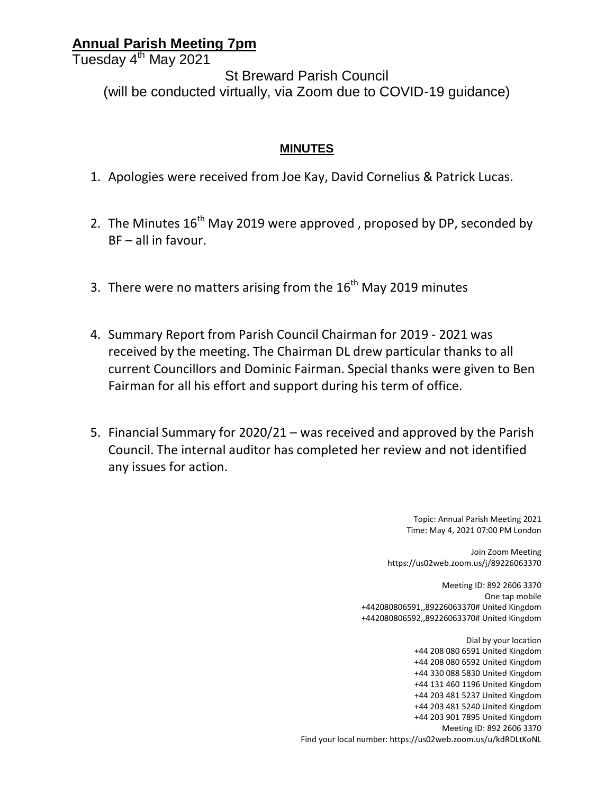## **Annual Parish Meeting 7pm**

Tuesday 4<sup>th</sup> May 2021

St Breward Parish Council (will be conducted virtually, via Zoom due to COVID-19 guidance)

## **MINUTES**

- 1. Apologies were received from Joe Kay, David Cornelius & Patrick Lucas.
- 2. The Minutes  $16^{th}$  May 2019 were approved, proposed by DP, seconded by BF – all in favour.
- 3. There were no matters arising from the  $16<sup>th</sup>$  May 2019 minutes
- 4. Summary Report from Parish Council Chairman for 2019 2021 was received by the meeting. The Chairman DL drew particular thanks to all current Councillors and Dominic Fairman. Special thanks were given to Ben Fairman for all his effort and support during his term of office.
- 5. Financial Summary for 2020/21 was received and approved by the Parish Council. The internal auditor has completed her review and not identified any issues for action.

Topic: Annual Parish Meeting 2021 Time: May 4, 2021 07:00 PM London

Join Zoom Meeting https://us02web.zoom.us/j/89226063370

Meeting ID: 892 2606 3370 One tap mobile +442080806591,,89226063370# United Kingdom +442080806592,,89226063370# United Kingdom

Dial by your location +44 208 080 6591 United Kingdom +44 208 080 6592 United Kingdom +44 330 088 5830 United Kingdom +44 131 460 1196 United Kingdom +44 203 481 5237 United Kingdom +44 203 481 5240 United Kingdom +44 203 901 7895 United Kingdom Meeting ID: 892 2606 3370 Find your local number: https://us02web.zoom.us/u/kdRDLtKoNL